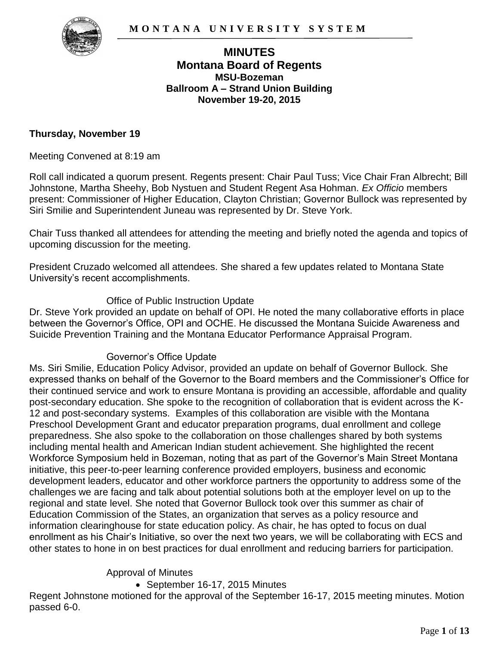

## **MINUTES Montana Board of Regents MSU-Bozeman Ballroom A – Strand Union Building November 19-20, 2015**

#### **Thursday, November 19**

Meeting Convened at 8:19 am

Roll call indicated a quorum present. Regents present: Chair Paul Tuss; Vice Chair Fran Albrecht; Bill Johnstone, Martha Sheehy, Bob Nystuen and Student Regent Asa Hohman. *Ex Officio* members present: Commissioner of Higher Education, Clayton Christian; Governor Bullock was represented by Siri Smilie and Superintendent Juneau was represented by Dr. Steve York.

Chair Tuss thanked all attendees for attending the meeting and briefly noted the agenda and topics of upcoming discussion for the meeting.

President Cruzado welcomed all attendees. She shared a few updates related to Montana State University's recent accomplishments.

#### Office of Public Instruction Update

Dr. Steve York provided an update on behalf of OPI. He noted the many collaborative efforts in place between the Governor's Office, OPI and OCHE. He discussed the Montana Suicide Awareness and Suicide Prevention Training and the Montana Educator Performance Appraisal Program.

#### Governor's Office Update

Ms. Siri Smilie, Education Policy Advisor, provided an update on behalf of Governor Bullock. She expressed thanks on behalf of the Governor to the Board members and the Commissioner's Office for their continued service and work to ensure Montana is providing an accessible, affordable and quality post-secondary education. She spoke to the recognition of collaboration that is evident across the K-12 and post-secondary systems. Examples of this collaboration are visible with the Montana Preschool Development Grant and educator preparation programs, dual enrollment and college preparedness. She also spoke to the collaboration on those challenges shared by both systems including mental health and American Indian student achievement. She highlighted the recent Workforce Symposium held in Bozeman, noting that as part of the Governor's Main Street Montana initiative, this peer-to-peer learning conference provided employers, business and economic development leaders, educator and other workforce partners the opportunity to address some of the challenges we are facing and talk about potential solutions both at the employer level on up to the regional and state level. She noted that Governor Bullock took over this summer as chair of Education Commission of the States, an organization that serves as a policy resource and information clearinghouse for state education policy. As chair, he has opted to focus on dual enrollment as his Chair's Initiative, so over the next two years, we will be collaborating with ECS and other states to hone in on best practices for dual enrollment and reducing barriers for participation.

#### Approval of Minutes

• September 16-17, 2015 Minutes

Regent Johnstone motioned for the approval of the September 16-17, 2015 meeting minutes. Motion passed 6-0.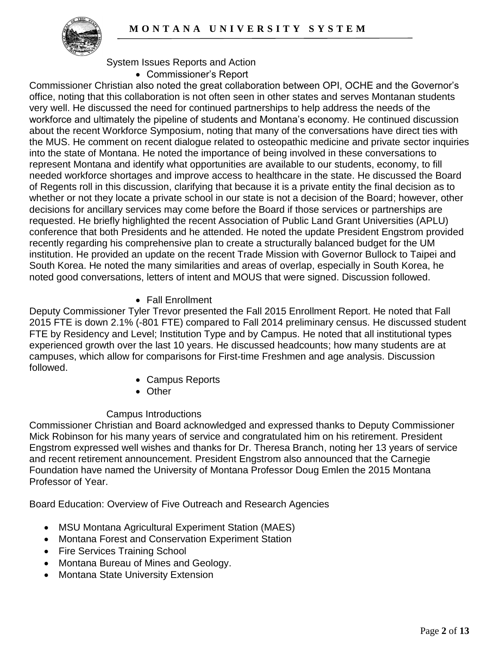

### System Issues Reports and Action

Commissioner's Report

Commissioner Christian also noted the great collaboration between OPI, OCHE and the Governor's office, noting that this collaboration is not often seen in other states and serves Montanan students very well. He discussed the need for continued partnerships to help address the needs of the workforce and ultimately the pipeline of students and Montana's economy. He continued discussion about the recent Workforce Symposium, noting that many of the conversations have direct ties with the MUS. He comment on recent dialogue related to osteopathic medicine and private sector inquiries into the state of Montana. He noted the importance of being involved in these conversations to represent Montana and identify what opportunities are available to our students, economy, to fill needed workforce shortages and improve access to healthcare in the state. He discussed the Board of Regents roll in this discussion, clarifying that because it is a private entity the final decision as to whether or not they locate a private school in our state is not a decision of the Board; however, other decisions for ancillary services may come before the Board if those services or partnerships are requested. He briefly highlighted the recent Association of Public Land Grant Universities (APLU) conference that both Presidents and he attended. He noted the update President Engstrom provided recently regarding his comprehensive plan to create a structurally balanced budget for the UM institution. He provided an update on the recent Trade Mission with Governor Bullock to Taipei and South Korea. He noted the many similarities and areas of overlap, especially in South Korea, he noted good conversations, letters of intent and MOUS that were signed. Discussion followed.

### Fall Enrollment

Deputy Commissioner Tyler Trevor presented the Fall 2015 Enrollment Report. He noted that Fall 2015 FTE is down 2.1% (-801 FTE) compared to Fall 2014 preliminary census. He discussed student FTE by Residency and Level; Institution Type and by Campus. He noted that all institutional types experienced growth over the last 10 years. He discussed headcounts; how many students are at campuses, which allow for comparisons for First-time Freshmen and age analysis. Discussion followed.

- Campus Reports
- Other

## Campus Introductions

Commissioner Christian and Board acknowledged and expressed thanks to Deputy Commissioner Mick Robinson for his many years of service and congratulated him on his retirement. President Engstrom expressed well wishes and thanks for Dr. Theresa Branch, noting her 13 years of service and recent retirement announcement. President Engstrom also announced that the Carnegie Foundation have named the University of Montana Professor Doug Emlen the 2015 Montana Professor of Year.

Board Education: Overview of Five Outreach and Research Agencies

- MSU Montana Agricultural Experiment Station (MAES)
- Montana Forest and Conservation Experiment Station
- Fire Services Training School
- Montana Bureau of Mines and Geology.
- Montana State University Extension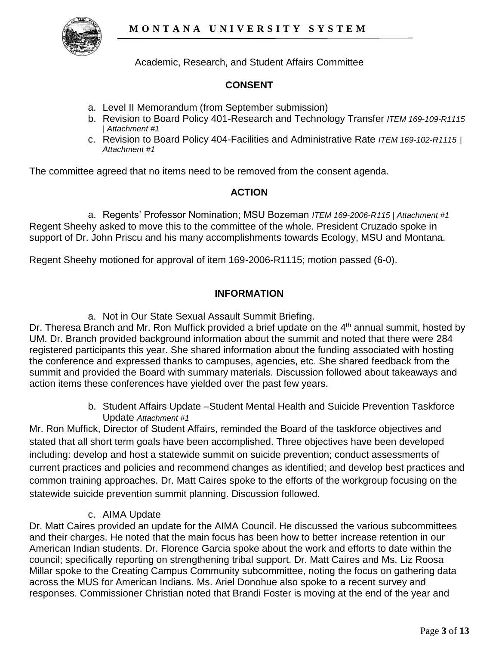

Academic, Research, and Student Affairs Committee

## **CONSENT**

- a. Level II Memorandum (from September submission)
- b. Revision to Board Policy 401-Research and Technology Transfer *ITEM 169-109-R1115 | Attachment #1*
- c. Revision to Board Policy 404-Facilities and Administrative Rate *ITEM 169-102-R1115 | Attachment #1*

The committee agreed that no items need to be removed from the consent agenda.

### **ACTION**

a. Regents' Professor Nomination; MSU Bozeman *ITEM 169-2006-R115 | Attachment #1* Regent Sheehy asked to move this to the committee of the whole. President Cruzado spoke in support of Dr. John Priscu and his many accomplishments towards Ecology, MSU and Montana.

Regent Sheehy motioned for approval of item 169-2006-R1115; motion passed (6-0).

### **INFORMATION**

a. Not in Our State Sexual Assault Summit Briefing.

Dr. Theresa Branch and Mr. Ron Muffick provided a brief update on the 4<sup>th</sup> annual summit, hosted by UM. Dr. Branch provided background information about the summit and noted that there were 284 registered participants this year. She shared information about the funding associated with hosting the conference and expressed thanks to campuses, agencies, etc. She shared feedback from the summit and provided the Board with summary materials. Discussion followed about takeaways and action items these conferences have yielded over the past few years.

> b. Student Affairs Update –Student Mental Health and Suicide Prevention Taskforce Update *Attachment #1*

Mr. Ron Muffick, Director of Student Affairs, reminded the Board of the taskforce objectives and stated that all short term goals have been accomplished. Three objectives have been developed including: develop and host a statewide summit on suicide prevention; conduct assessments of current practices and policies and recommend changes as identified; and develop best practices and common training approaches. Dr. Matt Caires spoke to the efforts of the workgroup focusing on the statewide suicide prevention summit planning. Discussion followed.

### c. AIMA Update

Dr. Matt Caires provided an update for the AIMA Council. He discussed the various subcommittees and their charges. He noted that the main focus has been how to better increase retention in our American Indian students. Dr. Florence Garcia spoke about the work and efforts to date within the council; specifically reporting on strengthening tribal support. Dr. Matt Caires and Ms. Liz Roosa Millar spoke to the Creating Campus Community subcommittee, noting the focus on gathering data across the MUS for American Indians. Ms. Ariel Donohue also spoke to a recent survey and responses. Commissioner Christian noted that Brandi Foster is moving at the end of the year and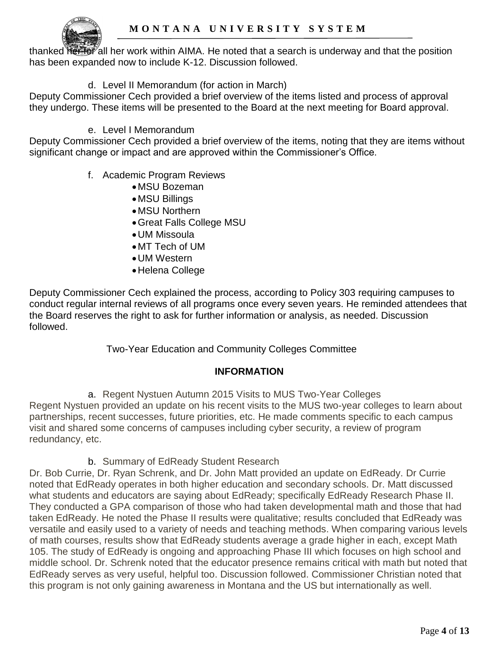

thanked reflor all her work within AIMA. He noted that a search is underway and that the position has been expanded now to include K-12. Discussion followed.

## d. Level II Memorandum (for action in March)

Deputy Commissioner Cech provided a brief overview of the items listed and process of approval they undergo. These items will be presented to the Board at the next meeting for Board approval.

### e. Level I Memorandum

Deputy Commissioner Cech provided a brief overview of the items, noting that they are items without significant change or impact and are approved within the Commissioner's Office.

- f. Academic Program Reviews
	- MSU Bozeman
	- MSU Billings
	- MSU Northern
	- Great Falls College MSU
	- UM Missoula
	- MT Tech of UM
	- UM Western
	- Helena College

Deputy Commissioner Cech explained the process, according to Policy 303 requiring campuses to conduct regular internal reviews of all programs once every seven years. He reminded attendees that the Board reserves the right to ask for further information or analysis, as needed. Discussion followed.

Two-Year Education and Community Colleges Committee

## **INFORMATION**

a. Regent Nystuen Autumn 2015 Visits to MUS Two-Year Colleges Regent Nystuen provided an update on his recent visits to the MUS two-year colleges to learn about partnerships, recent successes, future priorities, etc. He made comments specific to each campus visit and shared some concerns of campuses including cyber security, a review of program redundancy, etc.

b. Summary of EdReady Student Research

Dr. Bob Currie, Dr. Ryan Schrenk, and Dr. John Matt provided an update on EdReady. Dr Currie noted that EdReady operates in both higher education and secondary schools. Dr. Matt discussed what students and educators are saying about EdReady; specifically EdReady Research Phase II. They conducted a GPA comparison of those who had taken developmental math and those that had taken EdReady. He noted the Phase II results were qualitative; results concluded that EdReady was versatile and easily used to a variety of needs and teaching methods. When comparing various levels of math courses, results show that EdReady students average a grade higher in each, except Math 105. The study of EdReady is ongoing and approaching Phase III which focuses on high school and middle school. Dr. Schrenk noted that the educator presence remains critical with math but noted that EdReady serves as very useful, helpful too. Discussion followed. Commissioner Christian noted that this program is not only gaining awareness in Montana and the US but internationally as well.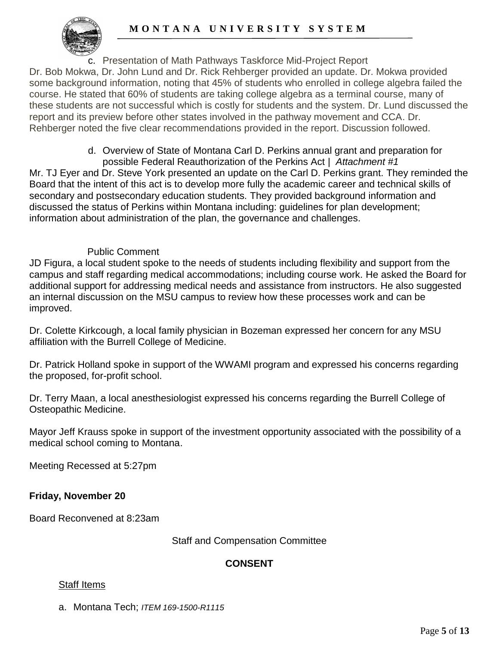

c. Presentation of Math Pathways Taskforce Mid-Project Report

Dr. Bob Mokwa, Dr. John Lund and Dr. Rick Rehberger provided an update. Dr. Mokwa provided some background information, noting that 45% of students who enrolled in college algebra failed the course. He stated that 60% of students are taking college algebra as a terminal course, many of these students are not successful which is costly for students and the system. Dr. Lund discussed the report and its preview before other states involved in the pathway movement and CCA. Dr. Rehberger noted the five clear recommendations provided in the report. Discussion followed.

> d. Overview of State of Montana Carl D. Perkins annual grant and preparation for possible Federal Reauthorization of the Perkins Act | *Attachment #1*

Mr. TJ Eyer and Dr. Steve York presented an update on the Carl D. Perkins grant. They reminded the Board that the intent of this act is to develop more fully the academic career and technical skills of secondary and postsecondary education students. They provided background information and discussed the status of Perkins within Montana including: guidelines for plan development; information about administration of the plan, the governance and challenges.

## Public Comment

JD Figura, a local student spoke to the needs of students including flexibility and support from the campus and staff regarding medical accommodations; including course work. He asked the Board for additional support for addressing medical needs and assistance from instructors. He also suggested an internal discussion on the MSU campus to review how these processes work and can be improved.

Dr. Colette Kirkcough, a local family physician in Bozeman expressed her concern for any MSU affiliation with the Burrell College of Medicine.

Dr. Patrick Holland spoke in support of the WWAMI program and expressed his concerns regarding the proposed, for-profit school.

Dr. Terry Maan, a local anesthesiologist expressed his concerns regarding the Burrell College of Osteopathic Medicine.

Mayor Jeff Krauss spoke in support of the investment opportunity associated with the possibility of a medical school coming to Montana.

Meeting Recessed at 5:27pm

# **Friday, November 20**

Board Reconvened at 8:23am

Staff and Compensation Committee

# **CONSENT**

## Staff Items

a. Montana Tech; *ITEM 169-1500-R1115*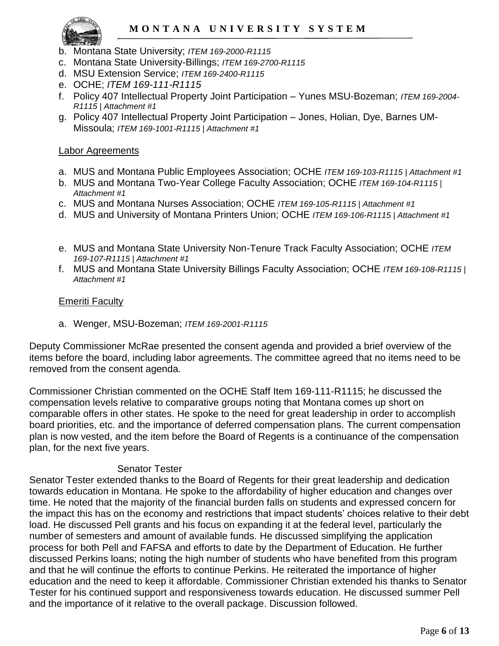

- b. Montana State University; *ITEM 169-2000-R1115*
- c. Montana State University-Billings; *ITEM 169-2700-R1115*
- d. MSU Extension Service; *ITEM 169-2400-R1115*
- e. OCHE; *ITEM 169-111-R1115*
- f. Policy 407 Intellectual Property Joint Participation Yunes MSU-Bozeman; *ITEM 169-2004- R1115 | Attachment #1*
- g. Policy 407 Intellectual Property Joint Participation Jones, Holian, Dye, Barnes UM-Missoula; *ITEM 169-1001-R1115 | Attachment #1*

#### Labor Agreements

- a. MUS and Montana Public Employees Association; OCHE *ITEM 169-103-R1115 | Attachment #1*
- b. MUS and Montana Two-Year College Faculty Association; OCHE *ITEM 169-104-R1115 | Attachment #1*
- c. MUS and Montana Nurses Association; OCHE *ITEM 169-105-R1115 | Attachment #1*
- d. MUS and University of Montana Printers Union; OCHE *ITEM 169-106-R1115 | Attachment #1*
- e. MUS and Montana State University Non-Tenure Track Faculty Association; OCHE *ITEM 169-107-R1115 | Attachment #1*
- f. MUS and Montana State University Billings Faculty Association; OCHE *ITEM 169-108-R1115 | Attachment #1*

#### Emeriti Faculty

a. Wenger, MSU-Bozeman; *ITEM 169-2001-R1115*

Deputy Commissioner McRae presented the consent agenda and provided a brief overview of the items before the board, including labor agreements. The committee agreed that no items need to be removed from the consent agenda.

Commissioner Christian commented on the OCHE Staff Item 169-111-R1115; he discussed the compensation levels relative to comparative groups noting that Montana comes up short on comparable offers in other states. He spoke to the need for great leadership in order to accomplish board priorities, etc. and the importance of deferred compensation plans. The current compensation plan is now vested, and the item before the Board of Regents is a continuance of the compensation plan, for the next five years.

### Senator Tester

Senator Tester extended thanks to the Board of Regents for their great leadership and dedication towards education in Montana. He spoke to the affordability of higher education and changes over time. He noted that the majority of the financial burden falls on students and expressed concern for the impact this has on the economy and restrictions that impact students' choices relative to their debt load. He discussed Pell grants and his focus on expanding it at the federal level, particularly the number of semesters and amount of available funds. He discussed simplifying the application process for both Pell and FAFSA and efforts to date by the Department of Education. He further discussed Perkins loans; noting the high number of students who have benefited from this program and that he will continue the efforts to continue Perkins. He reiterated the importance of higher education and the need to keep it affordable. Commissioner Christian extended his thanks to Senator Tester for his continued support and responsiveness towards education. He discussed summer Pell and the importance of it relative to the overall package. Discussion followed.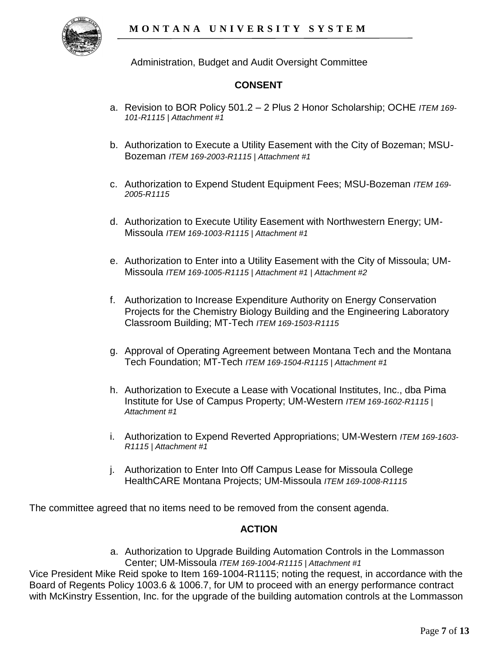Administration, Budget and Audit Oversight Committee

## **CONSENT**

- a. Revision to BOR Policy 501.2 2 Plus 2 Honor Scholarship; OCHE *ITEM 169- 101-R1115 | Attachment #1*
- b. Authorization to Execute a Utility Easement with the City of Bozeman; MSU-Bozeman *ITEM 169-2003-R1115 | Attachment #1*
- c. Authorization to Expend Student Equipment Fees; MSU-Bozeman *ITEM 169- 2005-R1115*
- d. Authorization to Execute Utility Easement with Northwestern Energy; UM-Missoula *ITEM 169-1003-R1115 | Attachment #1*
- e. Authorization to Enter into a Utility Easement with the City of Missoula; UM-Missoula *ITEM 169-1005-R1115 | Attachment #1 | Attachment #2*
- f. Authorization to Increase Expenditure Authority on Energy Conservation Projects for the Chemistry Biology Building and the Engineering Laboratory Classroom Building; MT-Tech *ITEM 169-1503-R1115*
- g. Approval of Operating Agreement between Montana Tech and the Montana Tech Foundation; MT-Tech *ITEM 169-1504-R1115 | Attachment #1*
- h. Authorization to Execute a Lease with Vocational Institutes, Inc., dba Pima Institute for Use of Campus Property; UM-Western *ITEM 169-1602-R1115 | Attachment #1*
- i. Authorization to Expend Reverted Appropriations; UM-Western *ITEM 169-1603- R1115 | Attachment #1*
- j. Authorization to Enter Into Off Campus Lease for Missoula College HealthCARE Montana Projects; UM-Missoula *ITEM 169-1008-R1115*

The committee agreed that no items need to be removed from the consent agenda.

### **ACTION**

a. Authorization to Upgrade Building Automation Controls in the Lommasson Center; UM-Missoula *ITEM 169-1004-R1115 | Attachment #1*

Vice President Mike Reid spoke to Item 169-1004-R1115; noting the request, in accordance with the Board of Regents Policy 1003.6 & 1006.7, for UM to proceed with an energy performance contract with McKinstry Essention, Inc. for the upgrade of the building automation controls at the Lommasson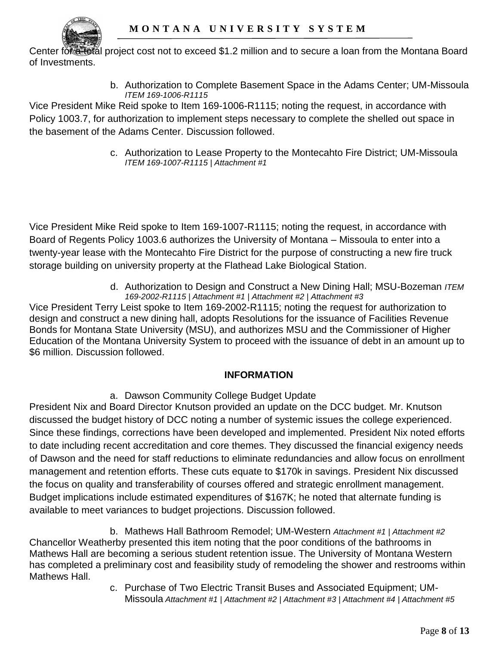

Center for a total project cost not to exceed \$1.2 million and to secure a loan from the Montana Board of Investments.

> b. Authorization to Complete Basement Space in the Adams Center; UM-Missoula *ITEM 169-1006-R1115*

Vice President Mike Reid spoke to Item 169-1006-R1115; noting the request, in accordance with Policy 1003.7, for authorization to implement steps necessary to complete the shelled out space in the basement of the Adams Center. Discussion followed.

> c. Authorization to Lease Property to the Montecahto Fire District; UM-Missoula *ITEM 169-1007-R1115 | Attachment #1*

Vice President Mike Reid spoke to Item 169-1007-R1115; noting the request, in accordance with Board of Regents Policy 1003.6 authorizes the University of Montana – Missoula to enter into a twenty-year lease with the Montecahto Fire District for the purpose of constructing a new fire truck storage building on university property at the Flathead Lake Biological Station.

> d. Authorization to Design and Construct a New Dining Hall; MSU-Bozeman *ITEM 169-2002-R1115 | Attachment #1 | Attachment #2 | Attachment #3*

Vice President Terry Leist spoke to Item 169-2002-R1115; noting the request for authorization to design and construct a new dining hall, adopts Resolutions for the issuance of Facilities Revenue Bonds for Montana State University (MSU), and authorizes MSU and the Commissioner of Higher Education of the Montana University System to proceed with the issuance of debt in an amount up to \$6 million. Discussion followed.

# **INFORMATION**

a. Dawson Community College Budget Update

President Nix and Board Director Knutson provided an update on the DCC budget. Mr. Knutson discussed the budget history of DCC noting a number of systemic issues the college experienced. Since these findings, corrections have been developed and implemented. President Nix noted efforts to date including recent accreditation and core themes. They discussed the financial exigency needs of Dawson and the need for staff reductions to eliminate redundancies and allow focus on enrollment management and retention efforts. These cuts equate to \$170k in savings. President Nix discussed the focus on quality and transferability of courses offered and strategic enrollment management. Budget implications include estimated expenditures of \$167K; he noted that alternate funding is available to meet variances to budget projections. Discussion followed.

b. Mathews Hall Bathroom Remodel; UM-Western *Attachment #1 | Attachment #2* Chancellor Weatherby presented this item noting that the poor conditions of the bathrooms in Mathews Hall are becoming a serious student retention issue. The University of Montana Western has completed a preliminary cost and feasibility study of remodeling the shower and restrooms within Mathews Hall.

c. Purchase of Two Electric Transit Buses and Associated Equipment; UM-Missoula *Attachment #1 | Attachment #2 | Attachment #3 | Attachment #4 | Attachment #5*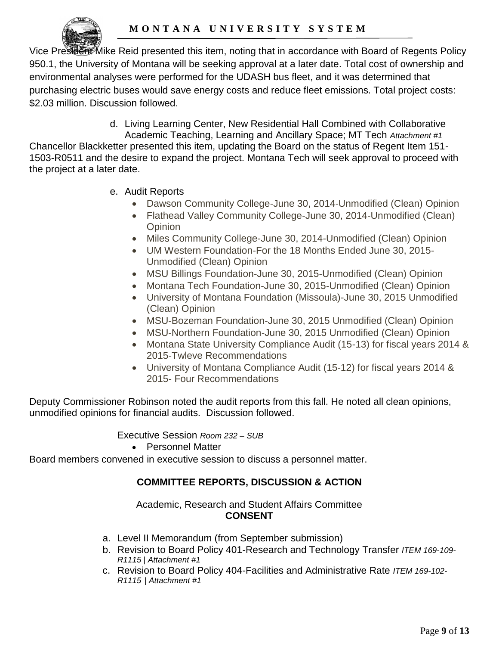

Vice President Mike Reid presented this item, noting that in accordance with Board of Regents Policy 950.1, the University of Montana will be seeking approval at a later date. Total cost of ownership and environmental analyses were performed for the UDASH bus fleet, and it was determined that purchasing electric buses would save energy costs and reduce fleet emissions. Total project costs: \$2.03 million. Discussion followed.

- d. Living Learning Center, New Residential Hall Combined with Collaborative Academic Teaching, Learning and Ancillary Space; MT Tech *Attachment #1* Chancellor Blackketter presented this item, updating the Board on the status of Regent Item 151- 1503-R0511 and the desire to expand the project. Montana Tech will seek approval to proceed with the project at a later date.
	- e. Audit Reports
		- Dawson Community College-June 30, 2014-Unmodified (Clean) Opinion
		- Flathead Valley Community College-June 30, 2014-Unmodified (Clean) **Opinion**
		- Miles Community College-June 30, 2014-Unmodified (Clean) Opinion
		- UM Western Foundation-For the 18 Months Ended June 30, 2015- Unmodified (Clean) Opinion
		- MSU Billings Foundation-June 30, 2015-Unmodified (Clean) Opinion
		- Montana Tech Foundation-June 30, 2015-Unmodified (Clean) Opinion
		- University of Montana Foundation (Missoula)-June 30, 2015 Unmodified (Clean) Opinion
		- MSU-Bozeman Foundation-June 30, 2015 Unmodified (Clean) Opinion
		- MSU-Northern Foundation-June 30, 2015 Unmodified (Clean) Opinion
		- Montana State University Compliance Audit (15-13) for fiscal years 2014 & 2015-Twleve Recommendations
		- University of Montana Compliance Audit (15-12) for fiscal years 2014 & 2015- Four Recommendations

Deputy Commissioner Robinson noted the audit reports from this fall. He noted all clean opinions, unmodified opinions for financial audits. Discussion followed.

Executive Session *Room 232 – SUB*

• Personnel Matter

Board members convened in executive session to discuss a personnel matter.

## **COMMITTEE REPORTS, DISCUSSION & ACTION**

### Academic, Research and Student Affairs Committee **CONSENT**

- a. Level II Memorandum (from September submission)
- b. Revision to Board Policy 401-Research and Technology Transfer *ITEM 169-109- R1115 | Attachment #1*
- c. Revision to Board Policy 404-Facilities and Administrative Rate *ITEM 169-102- R1115 | Attachment #1*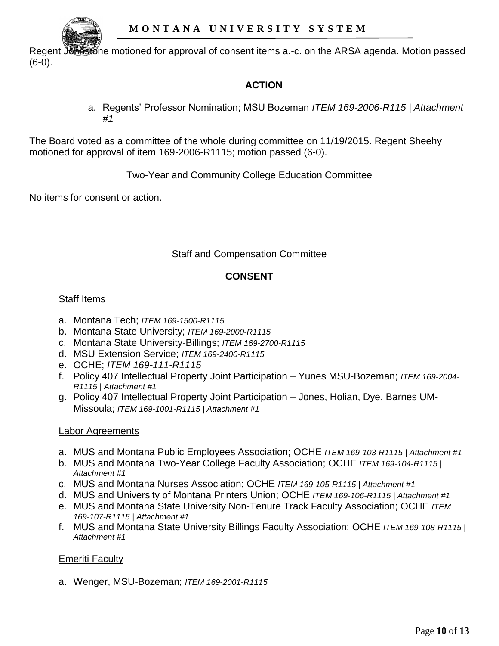

Regent Johnstone motioned for approval of consent items a.-c. on the ARSA agenda. Motion passed (6-0).

# **ACTION**

a. Regents' Professor Nomination; MSU Bozeman *ITEM 169-2006-R115 | Attachment #1*

The Board voted as a committee of the whole during committee on 11/19/2015. Regent Sheehy motioned for approval of item 169-2006-R1115; motion passed (6-0).

Two-Year and Community College Education Committee

No items for consent or action.

Staff and Compensation Committee

## **CONSENT**

## Staff Items

- a. Montana Tech; *ITEM 169-1500-R1115*
- b. Montana State University; *ITEM 169-2000-R1115*
- c. Montana State University-Billings; *ITEM 169-2700-R1115*
- d. MSU Extension Service; *ITEM 169-2400-R1115*
- e. OCHE; *ITEM 169-111-R1115*
- f. Policy 407 Intellectual Property Joint Participation Yunes MSU-Bozeman; *ITEM 169-2004- R1115 | Attachment #1*
- g. Policy 407 Intellectual Property Joint Participation Jones, Holian, Dye, Barnes UM-Missoula; *ITEM 169-1001-R1115 | Attachment #1*

## Labor Agreements

- a. MUS and Montana Public Employees Association; OCHE *ITEM 169-103-R1115 | Attachment #1*
- b. MUS and Montana Two-Year College Faculty Association; OCHE *ITEM 169-104-R1115 | Attachment #1*
- c. MUS and Montana Nurses Association; OCHE *ITEM 169-105-R1115 | Attachment #1*
- d. MUS and University of Montana Printers Union; OCHE *ITEM 169-106-R1115 | Attachment #1*
- e. MUS and Montana State University Non-Tenure Track Faculty Association; OCHE *ITEM 169-107-R1115 | Attachment #1*
- f. MUS and Montana State University Billings Faculty Association; OCHE *ITEM 169-108-R1115 | Attachment #1*

# Emeriti Faculty

a. Wenger, MSU-Bozeman; *ITEM 169-2001-R1115*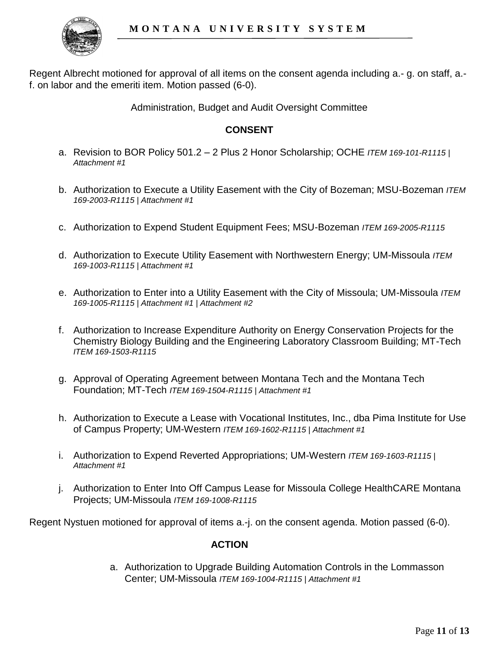

Regent Albrecht motioned for approval of all items on the consent agenda including a.- g. on staff, a. f. on labor and the emeriti item. Motion passed (6-0).

Administration, Budget and Audit Oversight Committee

### **CONSENT**

- a. Revision to BOR Policy 501.2 2 Plus 2 Honor Scholarship; OCHE *ITEM 169-101-R1115 | Attachment #1*
- b. Authorization to Execute a Utility Easement with the City of Bozeman; MSU-Bozeman *ITEM 169-2003-R1115 | Attachment #1*
- c. Authorization to Expend Student Equipment Fees; MSU-Bozeman *ITEM 169-2005-R1115*
- d. Authorization to Execute Utility Easement with Northwestern Energy; UM-Missoula *ITEM 169-1003-R1115 | Attachment #1*
- e. Authorization to Enter into a Utility Easement with the City of Missoula; UM-Missoula *ITEM 169-1005-R1115 | Attachment #1 | Attachment #2*
- f. Authorization to Increase Expenditure Authority on Energy Conservation Projects for the Chemistry Biology Building and the Engineering Laboratory Classroom Building; MT-Tech *ITEM 169-1503-R1115*
- g. Approval of Operating Agreement between Montana Tech and the Montana Tech Foundation; MT-Tech *ITEM 169-1504-R1115 | Attachment #1*
- h. Authorization to Execute a Lease with Vocational Institutes, Inc., dba Pima Institute for Use of Campus Property; UM-Western *ITEM 169-1602-R1115 | Attachment #1*
- i. Authorization to Expend Reverted Appropriations; UM-Western *ITEM 169-1603-R1115 | Attachment #1*
- j. Authorization to Enter Into Off Campus Lease for Missoula College HealthCARE Montana Projects; UM-Missoula *ITEM 169-1008-R1115*

Regent Nystuen motioned for approval of items a.-j. on the consent agenda. Motion passed (6-0).

### **ACTION**

a. Authorization to Upgrade Building Automation Controls in the Lommasson Center; UM-Missoula *ITEM 169-1004-R1115 | Attachment #1*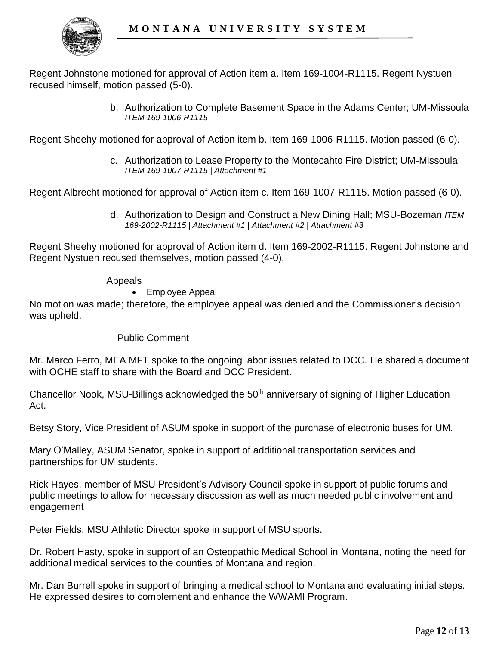

Regent Johnstone motioned for approval of Action item a. Item 169-1004-R1115. Regent Nystuen recused himself, motion passed (5-0).

> b. Authorization to Complete Basement Space in the Adams Center; UM-Missoula *ITEM 169-1006-R1115*

Regent Sheehy motioned for approval of Action item b. Item 169-1006-R1115. Motion passed (6-0).

c. Authorization to Lease Property to the Montecahto Fire District; UM-Missoula *ITEM 169-1007-R1115 | Attachment #1* 

Regent Albrecht motioned for approval of Action item c. Item 169-1007-R1115. Motion passed (6-0).

d. Authorization to Design and Construct a New Dining Hall; MSU-Bozeman *ITEM 169-2002-R1115 | Attachment #1 | Attachment #2 | Attachment #3*

Regent Sheehy motioned for approval of Action item d. Item 169-2002-R1115. Regent Johnstone and Regent Nystuen recused themselves, motion passed (4-0).

#### Appeals

### Employee Appeal

No motion was made; therefore, the employee appeal was denied and the Commissioner's decision was upheld.

### Public Comment

Mr. Marco Ferro, MEA MFT spoke to the ongoing labor issues related to DCC. He shared a document with OCHE staff to share with the Board and DCC President.

Chancellor Nook, MSU-Billings acknowledged the 50<sup>th</sup> anniversary of signing of Higher Education Act.

Betsy Story, Vice President of ASUM spoke in support of the purchase of electronic buses for UM.

Mary O'Malley, ASUM Senator, spoke in support of additional transportation services and partnerships for UM students.

Rick Hayes, member of MSU President's Advisory Council spoke in support of public forums and public meetings to allow for necessary discussion as well as much needed public involvement and engagement

Peter Fields, MSU Athletic Director spoke in support of MSU sports.

Dr. Robert Hasty, spoke in support of an Osteopathic Medical School in Montana, noting the need for additional medical services to the counties of Montana and region.

Mr. Dan Burrell spoke in support of bringing a medical school to Montana and evaluating initial steps. He expressed desires to complement and enhance the WWAMI Program.